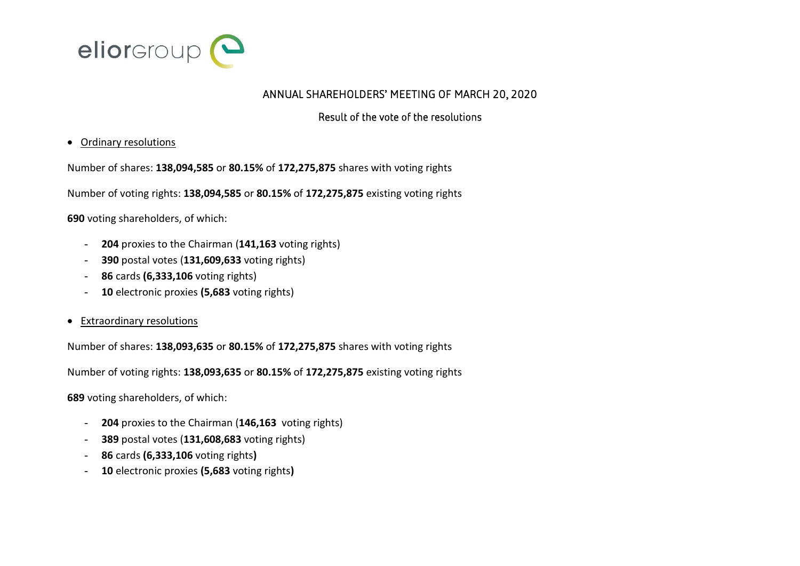

## ANNUAL SHAREHOLDERS' MEETING OF MARCH 20, 2020

## Result of the vote of the resolutions

## Ordinary resolutions

Number of shares: **138,094,585** or **80.15%** of **172,275,875** shares with voting rights

Number of voting rights: **138,094,585** or **80.15%** of **172,275,875** existing voting rights

**690** voting shareholders, of which:

- 204 proxies to the Chairman (141,163 voting rights)
- **390** postal votes (**131,609,633** voting rights)
- **86** cards **(6,333,106** voting rights)
- **10** electronic proxies **(5,683** voting rights)
- Extraordinary resolutions

Number of shares: **138,093,635** or **80.15%** of **172,275,875** shares with voting rights

Number of voting rights: **138,093,635** or **80.15%** of **172,275,875** existing voting rights

**689** voting shareholders, of which:

- **204** proxies to the Chairman (**146,163** voting rights)
- **389** postal votes (**131,608,683** voting rights)
- **86** cards **(6,333,106** voting rights**)**
- **10** electronic proxies **(5,683** voting rights**)**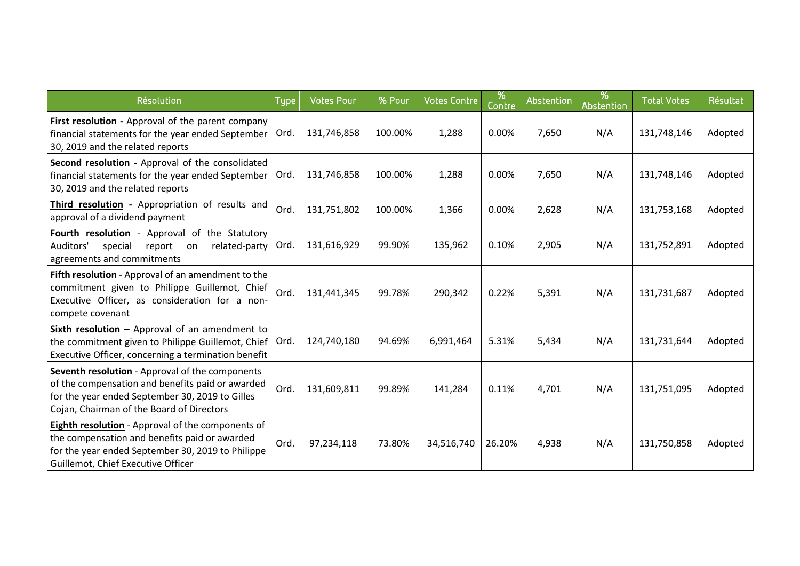| Résolution                                                                                                                                                                                                 | <b>Type</b> | <b>Votes Pour</b> | % Pour  | <b>Votes Contre</b> | %<br>Contre | Abstention | %<br>Abstention | <b>Total Votes</b> | Résultat |
|------------------------------------------------------------------------------------------------------------------------------------------------------------------------------------------------------------|-------------|-------------------|---------|---------------------|-------------|------------|-----------------|--------------------|----------|
| First resolution - Approval of the parent company<br>financial statements for the year ended September<br>30, 2019 and the related reports                                                                 | Ord.        | 131,746,858       | 100.00% | 1,288               | 0.00%       | 7,650      | N/A             | 131,748,146        | Adopted  |
| Second resolution - Approval of the consolidated<br>financial statements for the year ended September<br>30, 2019 and the related reports                                                                  | Ord.        | 131,746,858       | 100.00% | 1,288               | 0.00%       | 7,650      | N/A             | 131,748,146        | Adopted  |
| Third resolution - Appropriation of results and<br>approval of a dividend payment                                                                                                                          | Ord.        | 131,751,802       | 100.00% | 1,366               | 0.00%       | 2,628      | N/A             | 131,753,168        | Adopted  |
| Fourth resolution - Approval of the Statutory<br>Auditors'<br>special<br>related-party<br>report<br>on<br>agreements and commitments                                                                       | Ord.        | 131,616,929       | 99.90%  | 135,962             | 0.10%       | 2,905      | N/A             | 131,752,891        | Adopted  |
| <b>Fifth resolution</b> - Approval of an amendment to the<br>commitment given to Philippe Guillemot, Chief<br>Executive Officer, as consideration for a non-<br>compete covenant                           | Ord.        | 131,441,345       | 99.78%  | 290,342             | 0.22%       | 5,391      | N/A             | 131,731,687        | Adopted  |
| Sixth resolution $-$ Approval of an amendment to<br>the commitment given to Philippe Guillemot, Chief<br>Executive Officer, concerning a termination benefit                                               | Ord.        | 124,740,180       | 94.69%  | 6,991,464           | 5.31%       | 5,434      | N/A             | 131,731,644        | Adopted  |
| <b>Seventh resolution</b> - Approval of the components<br>of the compensation and benefits paid or awarded<br>for the year ended September 30, 2019 to Gilles<br>Cojan, Chairman of the Board of Directors | Ord.        | 131,609,811       | 99.89%  | 141,284             | 0.11%       | 4,701      | N/A             | 131,751,095        | Adopted  |
| <b>Eighth resolution</b> - Approval of the components of<br>the compensation and benefits paid or awarded<br>for the year ended September 30, 2019 to Philippe<br>Guillemot, Chief Executive Officer       | Ord.        | 97,234,118        | 73.80%  | 34,516,740          | 26.20%      | 4,938      | N/A             | 131,750,858        | Adopted  |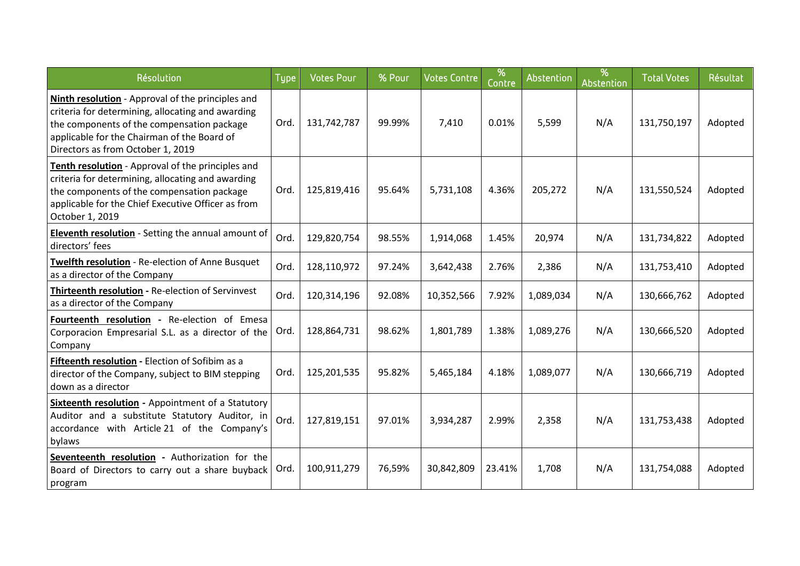| Résolution                                                                                                                                                                                                                               | <b>Type</b> | <b>Votes Pour</b> | % Pour | <b>Votes Contre</b> | %<br>Contre | Abstention | %<br>Abstention | <b>Total Votes</b> | Résultat |
|------------------------------------------------------------------------------------------------------------------------------------------------------------------------------------------------------------------------------------------|-------------|-------------------|--------|---------------------|-------------|------------|-----------------|--------------------|----------|
| Ninth resolution - Approval of the principles and<br>criteria for determining, allocating and awarding<br>the components of the compensation package<br>applicable for the Chairman of the Board of<br>Directors as from October 1, 2019 | Ord.        | 131,742,787       | 99.99% | 7,410               | 0.01%       | 5,599      | N/A             | 131,750,197        | Adopted  |
| Tenth resolution - Approval of the principles and<br>criteria for determining, allocating and awarding<br>the components of the compensation package<br>applicable for the Chief Executive Officer as from<br>October 1, 2019            | Ord.        | 125,819,416       | 95.64% | 5,731,108           | 4.36%       | 205,272    | N/A             | 131,550,524        | Adopted  |
| Eleventh resolution - Setting the annual amount of<br>directors' fees                                                                                                                                                                    | Ord.        | 129,820,754       | 98.55% | 1,914,068           | 1.45%       | 20,974     | N/A             | 131,734,822        | Adopted  |
| Twelfth resolution - Re-election of Anne Busquet<br>as a director of the Company                                                                                                                                                         | Ord.        | 128,110,972       | 97.24% | 3,642,438           | 2.76%       | 2,386      | N/A             | 131,753,410        | Adopted  |
| Thirteenth resolution - Re-election of Servinvest<br>as a director of the Company                                                                                                                                                        | Ord.        | 120,314,196       | 92.08% | 10,352,566          | 7.92%       | 1,089,034  | N/A             | 130,666,762        | Adopted  |
| Fourteenth resolution - Re-election of Emesa<br>Corporacion Empresarial S.L. as a director of the<br>Company                                                                                                                             | Ord.        | 128,864,731       | 98.62% | 1,801,789           | 1.38%       | 1,089,276  | N/A             | 130,666,520        | Adopted  |
| Fifteenth resolution - Election of Sofibim as a<br>director of the Company, subject to BIM stepping<br>down as a director                                                                                                                | Ord.        | 125,201,535       | 95.82% | 5,465,184           | 4.18%       | 1,089,077  | N/A             | 130,666,719        | Adopted  |
| Sixteenth resolution - Appointment of a Statutory<br>Auditor and a substitute Statutory Auditor, in<br>accordance with Article 21 of the Company's<br>bylaws                                                                             | Ord.        | 127,819,151       | 97.01% | 3,934,287           | 2.99%       | 2,358      | N/A             | 131,753,438        | Adopted  |
| Seventeenth resolution - Authorization for the<br>Board of Directors to carry out a share buyback<br>program                                                                                                                             | Ord.        | 100,911,279       | 76,59% | 30,842,809          | 23.41%      | 1,708      | N/A             | 131,754,088        | Adopted  |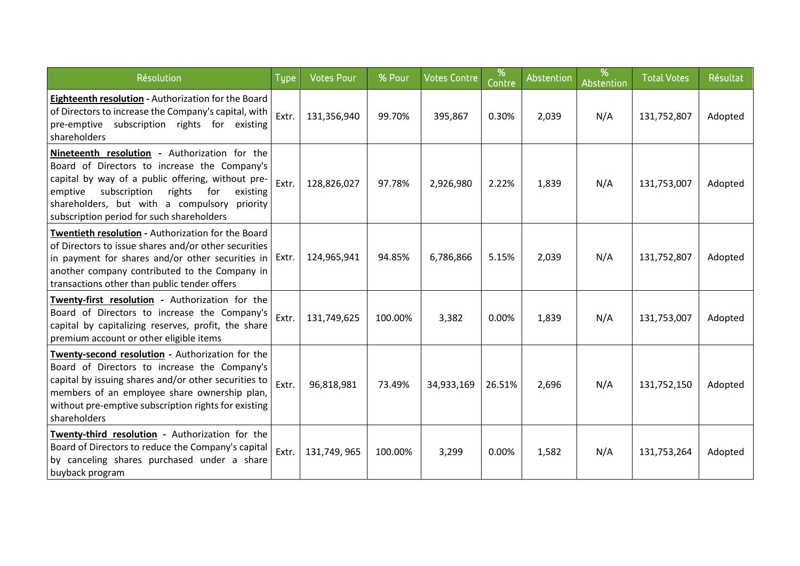| Résolution                                                                                                                                                                                                                                                                                              | <b>Type</b> | <b>Votes Pour</b> | % Pour  | <b>Votes Contre</b> | %<br>Contre | Abstention | %<br>Abstention | <b>Total Votes</b> | Résultat |
|---------------------------------------------------------------------------------------------------------------------------------------------------------------------------------------------------------------------------------------------------------------------------------------------------------|-------------|-------------------|---------|---------------------|-------------|------------|-----------------|--------------------|----------|
| Eighteenth resolution - Authorization for the Board<br>of Directors to increase the Company's capital, with<br>pre-emptive subscription rights for existing<br>shareholders                                                                                                                             | Extr.       | 131,356,940       | 99.70%  | 395,867             | 0.30%       | 2,039      | N/A             | 131,752,807        | Adopted  |
| Nineteenth resolution - Authorization for the<br>Board of Directors to increase the Company's<br>capital by way of a public offering, without pre-<br>subscription<br>rights<br>emptive<br>for<br>existing<br>shareholders, but with a compulsory priority<br>subscription period for such shareholders | Extr.       | 128,826,027       | 97.78%  | 2,926,980           | 2.22%       | 1,839      | N/A             | 131,753,007        | Adopted  |
| Twentieth resolution - Authorization for the Board<br>of Directors to issue shares and/or other securities<br>in payment for shares and/or other securities in $\,$ Extr.<br>another company contributed to the Company in<br>transactions other than public tender offers                              |             | 124,965,941       | 94.85%  | 6,786,866           | 5.15%       | 2,039      | N/A             | 131,752,807        | Adopted  |
| Twenty-first resolution - Authorization for the<br>Board of Directors to increase the Company's<br>capital by capitalizing reserves, profit, the share<br>premium account or other eligible items                                                                                                       | Extr.       | 131,749,625       | 100.00% | 3,382               | 0.00%       | 1,839      | N/A             | 131,753,007        | Adopted  |
| Twenty-second resolution - Authorization for the<br>Board of Directors to increase the Company's<br>capital by issuing shares and/or other securities to<br>members of an employee share ownership plan,<br>without pre-emptive subscription rights for existing<br>shareholders                        | Extr.       | 96,818,981        | 73.49%  | 34,933,169          | 26.51%      | 2,696      | N/A             | 131,752,150        | Adopted  |
| Twenty-third resolution - Authorization for the<br>Board of Directors to reduce the Company's capital<br>by canceling shares purchased under a share<br>buyback program                                                                                                                                 | Extr.       | 131,749,965       | 100.00% | 3,299               | 0.00%       | 1,582      | N/A             | 131,753,264        | Adopted  |